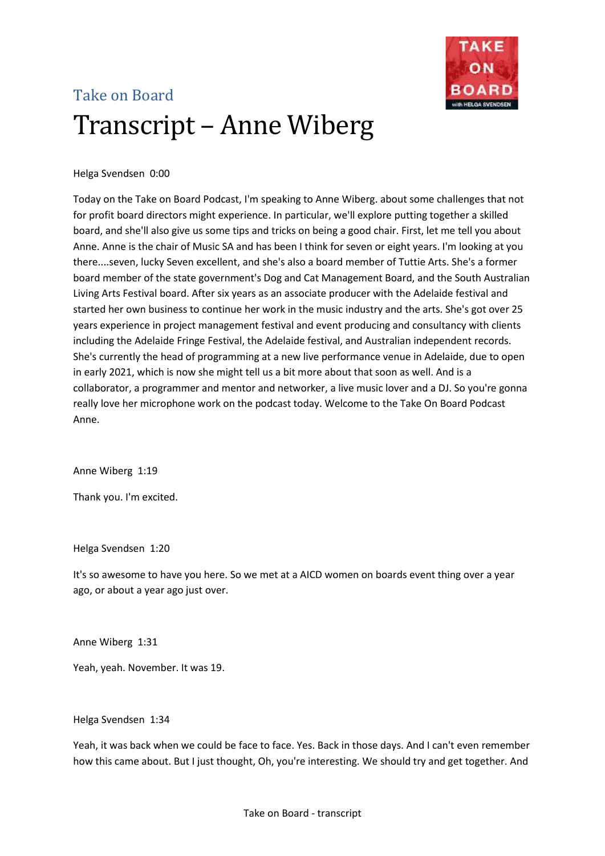

# Take on Board Transcript – Anne Wiberg

# Helga Svendsen 0:00

Today on the Take on Board Podcast, I'm speaking to Anne Wiberg. about some challenges that not for profit board directors might experience. In particular, we'll explore putting together a skilled board, and she'll also give us some tips and tricks on being a good chair. First, let me tell you about Anne. Anne is the chair of Music SA and has been I think for seven or eight years. I'm looking at you there....seven, lucky Seven excellent, and she's also a board member of Tuttie Arts. She's a former board member of the state government's Dog and Cat Management Board, and the South Australian Living Arts Festival board. After six years as an associate producer with the Adelaide festival and started her own business to continue her work in the music industry and the arts. She's got over 25 years experience in project management festival and event producing and consultancy with clients including the Adelaide Fringe Festival, the Adelaide festival, and Australian independent records. She's currently the head of programming at a new live performance venue in Adelaide, due to open in early 2021, which is now she might tell us a bit more about that soon as well. And is a collaborator, a programmer and mentor and networker, a live music lover and a DJ. So you're gonna really love her microphone work on the podcast today. Welcome to the Take On Board Podcast Anne.

Anne Wiberg 1:19

Thank you. I'm excited.

Helga Svendsen 1:20

It's so awesome to have you here. So we met at a AICD women on boards event thing over a year ago, or about a year ago just over.

Anne Wiberg 1:31

Yeah, yeah. November. It was 19.

Helga Svendsen 1:34

Yeah, it was back when we could be face to face. Yes. Back in those days. And I can't even remember how this came about. But I just thought, Oh, you're interesting. We should try and get together. And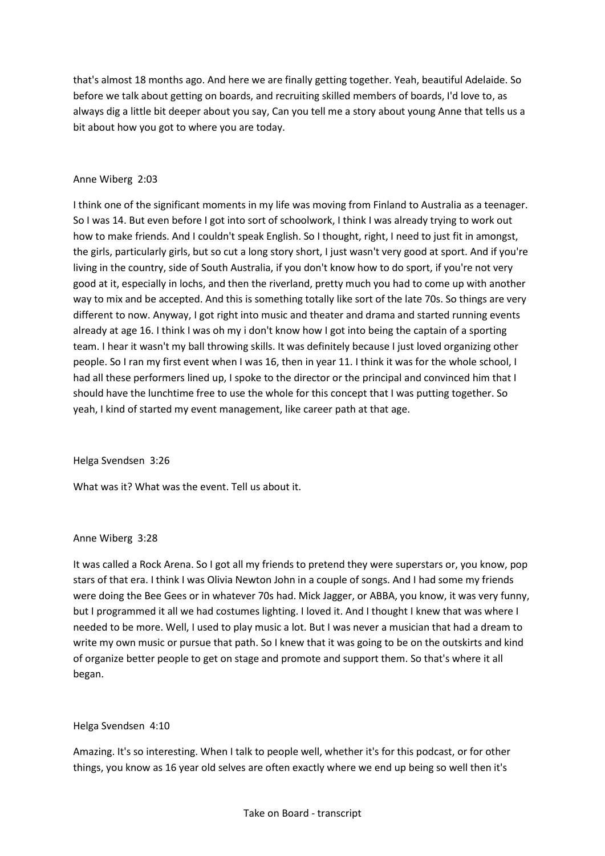that's almost 18 months ago. And here we are finally getting together. Yeah, beautiful Adelaide. So before we talk about getting on boards, and recruiting skilled members of boards, I'd love to, as always dig a little bit deeper about you say, Can you tell me a story about young Anne that tells us a bit about how you got to where you are today.

## Anne Wiberg 2:03

I think one of the significant moments in my life was moving from Finland to Australia as a teenager. So I was 14. But even before I got into sort of schoolwork, I think I was already trying to work out how to make friends. And I couldn't speak English. So I thought, right, I need to just fit in amongst, the girls, particularly girls, but so cut a long story short, I just wasn't very good at sport. And if you're living in the country, side of South Australia, if you don't know how to do sport, if you're not very good at it, especially in lochs, and then the riverland, pretty much you had to come up with another way to mix and be accepted. And this is something totally like sort of the late 70s. So things are very different to now. Anyway, I got right into music and theater and drama and started running events already at age 16. I think I was oh my i don't know how I got into being the captain of a sporting team. I hear it wasn't my ball throwing skills. It was definitely because I just loved organizing other people. So I ran my first event when I was 16, then in year 11. I think it was for the whole school, I had all these performers lined up, I spoke to the director or the principal and convinced him that I should have the lunchtime free to use the whole for this concept that I was putting together. So yeah, I kind of started my event management, like career path at that age.

Helga Svendsen 3:26

What was it? What was the event. Tell us about it.

## Anne Wiberg 3:28

It was called a Rock Arena. So I got all my friends to pretend they were superstars or, you know, pop stars of that era. I think I was Olivia Newton John in a couple of songs. And I had some my friends were doing the Bee Gees or in whatever 70s had. Mick Jagger, or ABBA, you know, it was very funny, but I programmed it all we had costumes lighting. I loved it. And I thought I knew that was where I needed to be more. Well, I used to play music a lot. But I was never a musician that had a dream to write my own music or pursue that path. So I knew that it was going to be on the outskirts and kind of organize better people to get on stage and promote and support them. So that's where it all began.

## Helga Svendsen 4:10

Amazing. It's so interesting. When I talk to people well, whether it's for this podcast, or for other things, you know as 16 year old selves are often exactly where we end up being so well then it's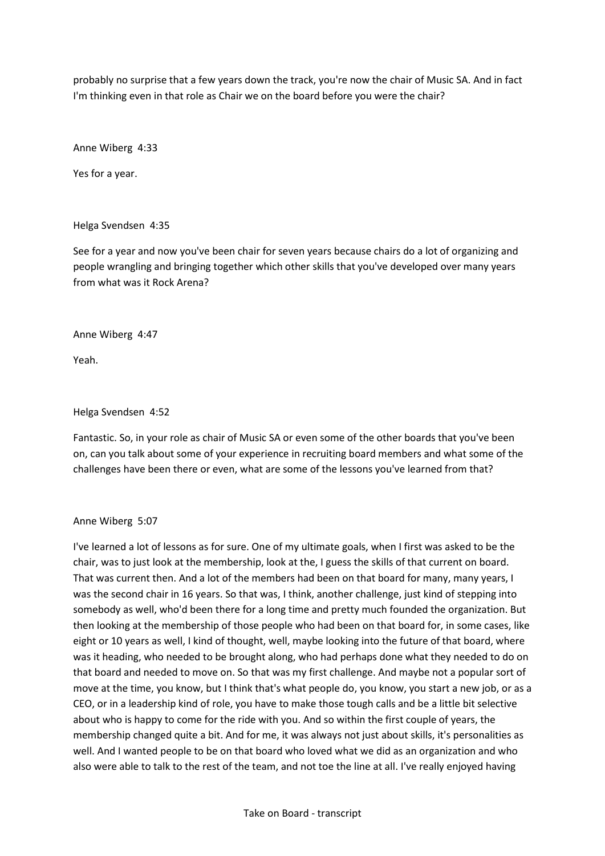probably no surprise that a few years down the track, you're now the chair of Music SA. And in fact I'm thinking even in that role as Chair we on the board before you were the chair?

Anne Wiberg 4:33

Yes for a year.

#### Helga Svendsen 4:35

See for a year and now you've been chair for seven years because chairs do a lot of organizing and people wrangling and bringing together which other skills that you've developed over many years from what was it Rock Arena?

#### Anne Wiberg 4:47

Yeah.

#### Helga Svendsen 4:52

Fantastic. So, in your role as chair of Music SA or even some of the other boards that you've been on, can you talk about some of your experience in recruiting board members and what some of the challenges have been there or even, what are some of the lessons you've learned from that?

#### Anne Wiberg 5:07

I've learned a lot of lessons as for sure. One of my ultimate goals, when I first was asked to be the chair, was to just look at the membership, look at the, I guess the skills of that current on board. That was current then. And a lot of the members had been on that board for many, many years, I was the second chair in 16 years. So that was, I think, another challenge, just kind of stepping into somebody as well, who'd been there for a long time and pretty much founded the organization. But then looking at the membership of those people who had been on that board for, in some cases, like eight or 10 years as well, I kind of thought, well, maybe looking into the future of that board, where was it heading, who needed to be brought along, who had perhaps done what they needed to do on that board and needed to move on. So that was my first challenge. And maybe not a popular sort of move at the time, you know, but I think that's what people do, you know, you start a new job, or as a CEO, or in a leadership kind of role, you have to make those tough calls and be a little bit selective about who is happy to come for the ride with you. And so within the first couple of years, the membership changed quite a bit. And for me, it was always not just about skills, it's personalities as well. And I wanted people to be on that board who loved what we did as an organization and who also were able to talk to the rest of the team, and not toe the line at all. I've really enjoyed having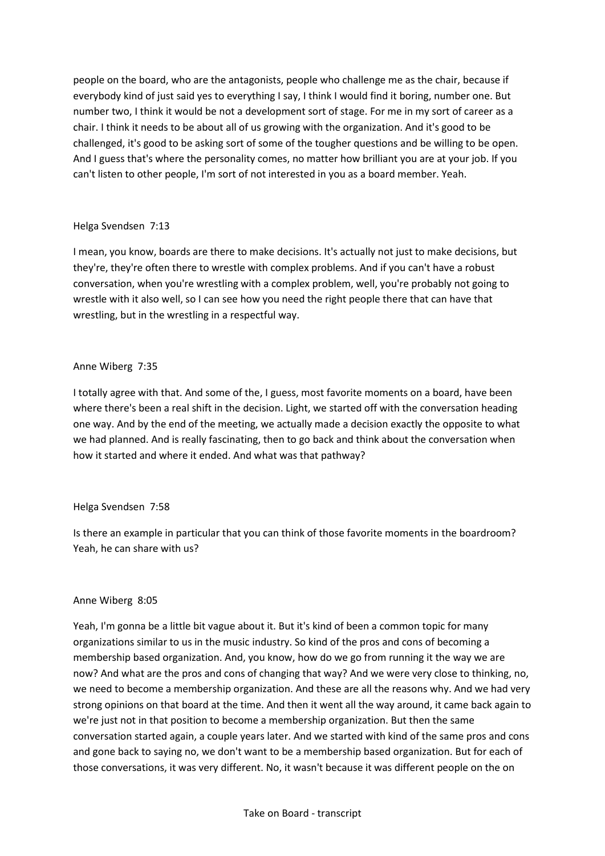people on the board, who are the antagonists, people who challenge me as the chair, because if everybody kind of just said yes to everything I say, I think I would find it boring, number one. But number two, I think it would be not a development sort of stage. For me in my sort of career as a chair. I think it needs to be about all of us growing with the organization. And it's good to be challenged, it's good to be asking sort of some of the tougher questions and be willing to be open. And I guess that's where the personality comes, no matter how brilliant you are at your job. If you can't listen to other people, I'm sort of not interested in you as a board member. Yeah.

## Helga Svendsen 7:13

I mean, you know, boards are there to make decisions. It's actually not just to make decisions, but they're, they're often there to wrestle with complex problems. And if you can't have a robust conversation, when you're wrestling with a complex problem, well, you're probably not going to wrestle with it also well, so I can see how you need the right people there that can have that wrestling, but in the wrestling in a respectful way.

# Anne Wiberg 7:35

I totally agree with that. And some of the, I guess, most favorite moments on a board, have been where there's been a real shift in the decision. Light, we started off with the conversation heading one way. And by the end of the meeting, we actually made a decision exactly the opposite to what we had planned. And is really fascinating, then to go back and think about the conversation when how it started and where it ended. And what was that pathway?

## Helga Svendsen 7:58

Is there an example in particular that you can think of those favorite moments in the boardroom? Yeah, he can share with us?

## Anne Wiberg 8:05

Yeah, I'm gonna be a little bit vague about it. But it's kind of been a common topic for many organizations similar to us in the music industry. So kind of the pros and cons of becoming a membership based organization. And, you know, how do we go from running it the way we are now? And what are the pros and cons of changing that way? And we were very close to thinking, no, we need to become a membership organization. And these are all the reasons why. And we had very strong opinions on that board at the time. And then it went all the way around, it came back again to we're just not in that position to become a membership organization. But then the same conversation started again, a couple years later. And we started with kind of the same pros and cons and gone back to saying no, we don't want to be a membership based organization. But for each of those conversations, it was very different. No, it wasn't because it was different people on the on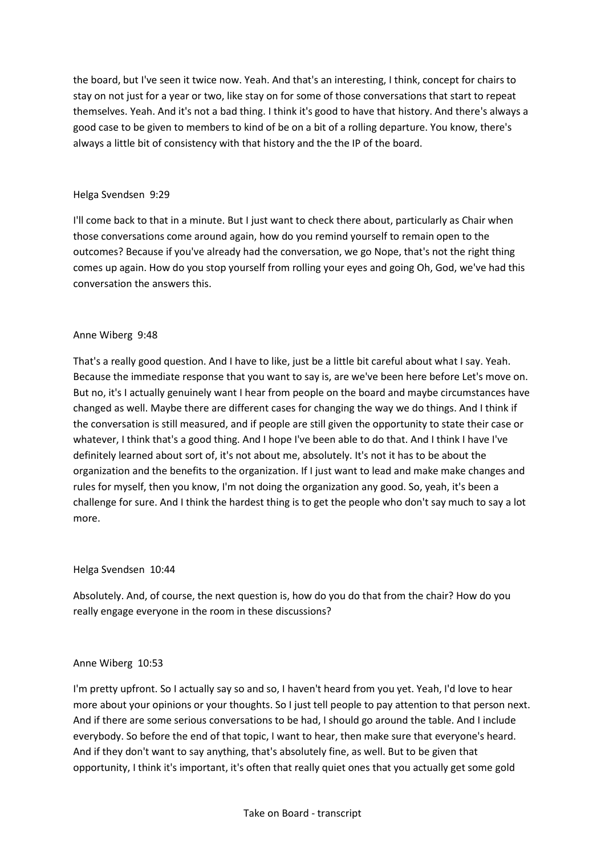the board, but I've seen it twice now. Yeah. And that's an interesting, I think, concept for chairs to stay on not just for a year or two, like stay on for some of those conversations that start to repeat themselves. Yeah. And it's not a bad thing. I think it's good to have that history. And there's always a good case to be given to members to kind of be on a bit of a rolling departure. You know, there's always a little bit of consistency with that history and the the IP of the board.

## Helga Svendsen 9:29

I'll come back to that in a minute. But I just want to check there about, particularly as Chair when those conversations come around again, how do you remind yourself to remain open to the outcomes? Because if you've already had the conversation, we go Nope, that's not the right thing comes up again. How do you stop yourself from rolling your eyes and going Oh, God, we've had this conversation the answers this.

# Anne Wiberg 9:48

That's a really good question. And I have to like, just be a little bit careful about what I say. Yeah. Because the immediate response that you want to say is, are we've been here before Let's move on. But no, it's I actually genuinely want I hear from people on the board and maybe circumstances have changed as well. Maybe there are different cases for changing the way we do things. And I think if the conversation is still measured, and if people are still given the opportunity to state their case or whatever, I think that's a good thing. And I hope I've been able to do that. And I think I have I've definitely learned about sort of, it's not about me, absolutely. It's not it has to be about the organization and the benefits to the organization. If I just want to lead and make make changes and rules for myself, then you know, I'm not doing the organization any good. So, yeah, it's been a challenge for sure. And I think the hardest thing is to get the people who don't say much to say a lot more.

## Helga Svendsen 10:44

Absolutely. And, of course, the next question is, how do you do that from the chair? How do you really engage everyone in the room in these discussions?

## Anne Wiberg 10:53

I'm pretty upfront. So I actually say so and so, I haven't heard from you yet. Yeah, I'd love to hear more about your opinions or your thoughts. So I just tell people to pay attention to that person next. And if there are some serious conversations to be had, I should go around the table. And I include everybody. So before the end of that topic, I want to hear, then make sure that everyone's heard. And if they don't want to say anything, that's absolutely fine, as well. But to be given that opportunity, I think it's important, it's often that really quiet ones that you actually get some gold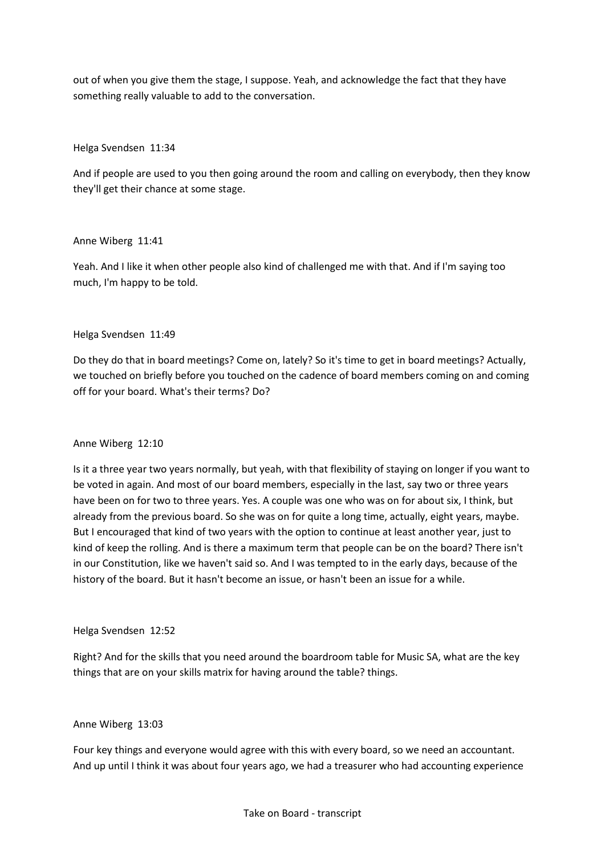out of when you give them the stage, I suppose. Yeah, and acknowledge the fact that they have something really valuable to add to the conversation.

#### Helga Svendsen 11:34

And if people are used to you then going around the room and calling on everybody, then they know they'll get their chance at some stage.

#### Anne Wiberg 11:41

Yeah. And I like it when other people also kind of challenged me with that. And if I'm saying too much, I'm happy to be told.

#### Helga Svendsen 11:49

Do they do that in board meetings? Come on, lately? So it's time to get in board meetings? Actually, we touched on briefly before you touched on the cadence of board members coming on and coming off for your board. What's their terms? Do?

## Anne Wiberg 12:10

Is it a three year two years normally, but yeah, with that flexibility of staying on longer if you want to be voted in again. And most of our board members, especially in the last, say two or three years have been on for two to three years. Yes. A couple was one who was on for about six, I think, but already from the previous board. So she was on for quite a long time, actually, eight years, maybe. But I encouraged that kind of two years with the option to continue at least another year, just to kind of keep the rolling. And is there a maximum term that people can be on the board? There isn't in our Constitution, like we haven't said so. And I was tempted to in the early days, because of the history of the board. But it hasn't become an issue, or hasn't been an issue for a while.

#### Helga Svendsen 12:52

Right? And for the skills that you need around the boardroom table for Music SA, what are the key things that are on your skills matrix for having around the table? things.

## Anne Wiberg 13:03

Four key things and everyone would agree with this with every board, so we need an accountant. And up until I think it was about four years ago, we had a treasurer who had accounting experience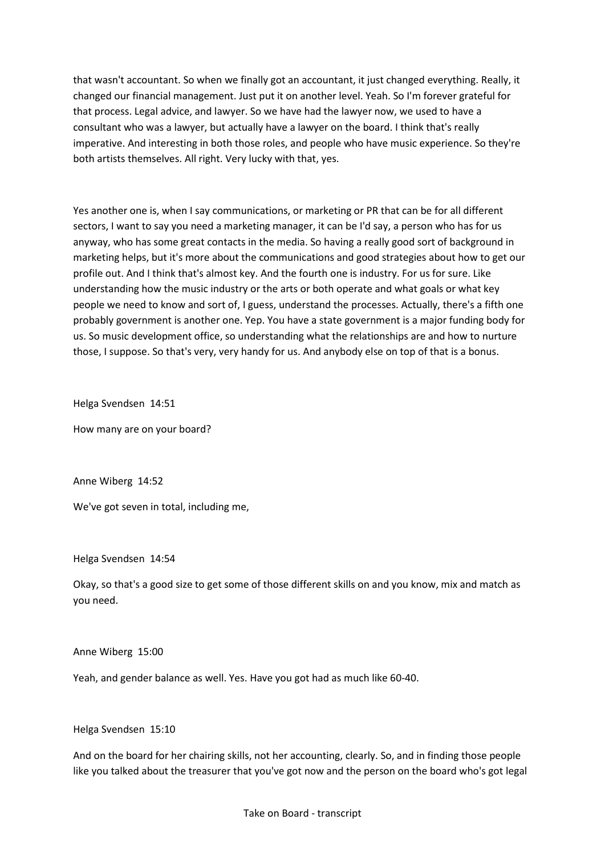that wasn't accountant. So when we finally got an accountant, it just changed everything. Really, it changed our financial management. Just put it on another level. Yeah. So I'm forever grateful for that process. Legal advice, and lawyer. So we have had the lawyer now, we used to have a consultant who was a lawyer, but actually have a lawyer on the board. I think that's really imperative. And interesting in both those roles, and people who have music experience. So they're both artists themselves. All right. Very lucky with that, yes.

Yes another one is, when I say communications, or marketing or PR that can be for all different sectors, I want to say you need a marketing manager, it can be I'd say, a person who has for us anyway, who has some great contacts in the media. So having a really good sort of background in marketing helps, but it's more about the communications and good strategies about how to get our profile out. And I think that's almost key. And the fourth one is industry. For us for sure. Like understanding how the music industry or the arts or both operate and what goals or what key people we need to know and sort of, I guess, understand the processes. Actually, there's a fifth one probably government is another one. Yep. You have a state government is a major funding body for us. So music development office, so understanding what the relationships are and how to nurture those, I suppose. So that's very, very handy for us. And anybody else on top of that is a bonus.

Helga Svendsen 14:51

How many are on your board?

Anne Wiberg 14:52

We've got seven in total, including me,

Helga Svendsen 14:54

Okay, so that's a good size to get some of those different skills on and you know, mix and match as you need.

Anne Wiberg 15:00

Yeah, and gender balance as well. Yes. Have you got had as much like 60-40.

Helga Svendsen 15:10

And on the board for her chairing skills, not her accounting, clearly. So, and in finding those people like you talked about the treasurer that you've got now and the person on the board who's got legal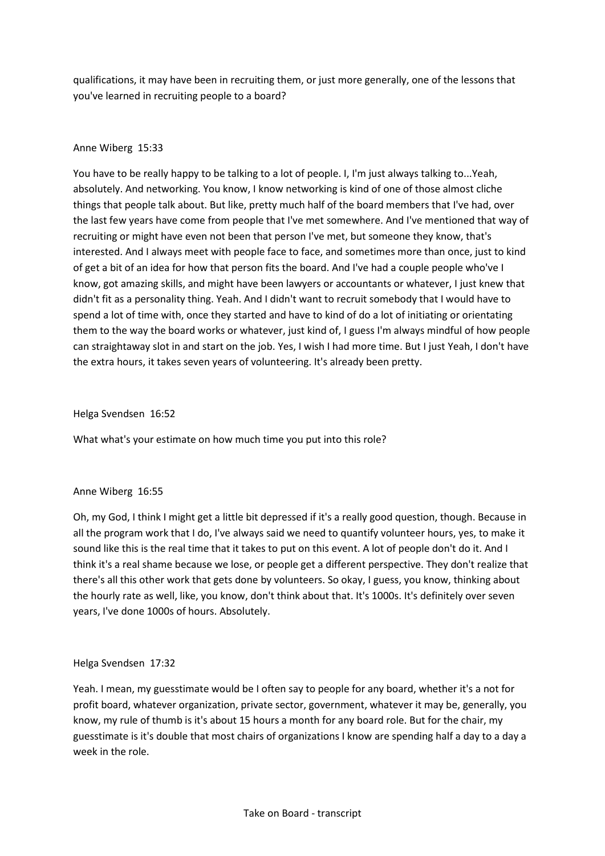qualifications, it may have been in recruiting them, or just more generally, one of the lessons that you've learned in recruiting people to a board?

## Anne Wiberg 15:33

You have to be really happy to be talking to a lot of people. I, I'm just always talking to...Yeah, absolutely. And networking. You know, I know networking is kind of one of those almost cliche things that people talk about. But like, pretty much half of the board members that I've had, over the last few years have come from people that I've met somewhere. And I've mentioned that way of recruiting or might have even not been that person I've met, but someone they know, that's interested. And I always meet with people face to face, and sometimes more than once, just to kind of get a bit of an idea for how that person fits the board. And I've had a couple people who've I know, got amazing skills, and might have been lawyers or accountants or whatever, I just knew that didn't fit as a personality thing. Yeah. And I didn't want to recruit somebody that I would have to spend a lot of time with, once they started and have to kind of do a lot of initiating or orientating them to the way the board works or whatever, just kind of, I guess I'm always mindful of how people can straightaway slot in and start on the job. Yes, I wish I had more time. But I just Yeah, I don't have the extra hours, it takes seven years of volunteering. It's already been pretty.

#### Helga Svendsen 16:52

What what's your estimate on how much time you put into this role?

#### Anne Wiberg 16:55

Oh, my God, I think I might get a little bit depressed if it's a really good question, though. Because in all the program work that I do, I've always said we need to quantify volunteer hours, yes, to make it sound like this is the real time that it takes to put on this event. A lot of people don't do it. And I think it's a real shame because we lose, or people get a different perspective. They don't realize that there's all this other work that gets done by volunteers. So okay, I guess, you know, thinking about the hourly rate as well, like, you know, don't think about that. It's 1000s. It's definitely over seven years, I've done 1000s of hours. Absolutely.

## Helga Svendsen 17:32

Yeah. I mean, my guesstimate would be I often say to people for any board, whether it's a not for profit board, whatever organization, private sector, government, whatever it may be, generally, you know, my rule of thumb is it's about 15 hours a month for any board role. But for the chair, my guesstimate is it's double that most chairs of organizations I know are spending half a day to a day a week in the role.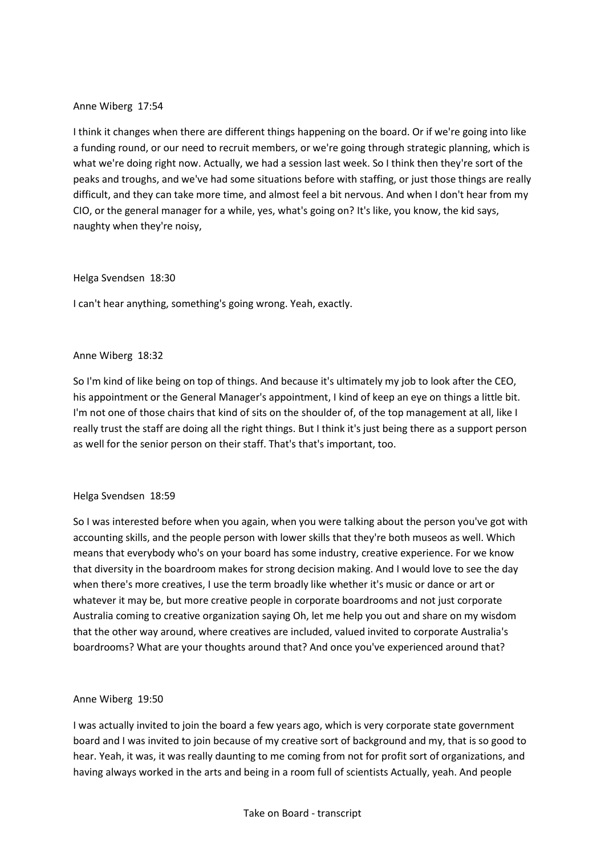## Anne Wiberg 17:54

I think it changes when there are different things happening on the board. Or if we're going into like a funding round, or our need to recruit members, or we're going through strategic planning, which is what we're doing right now. Actually, we had a session last week. So I think then they're sort of the peaks and troughs, and we've had some situations before with staffing, or just those things are really difficult, and they can take more time, and almost feel a bit nervous. And when I don't hear from my CIO, or the general manager for a while, yes, what's going on? It's like, you know, the kid says, naughty when they're noisy,

#### Helga Svendsen 18:30

I can't hear anything, something's going wrong. Yeah, exactly.

## Anne Wiberg 18:32

So I'm kind of like being on top of things. And because it's ultimately my job to look after the CEO, his appointment or the General Manager's appointment, I kind of keep an eye on things a little bit. I'm not one of those chairs that kind of sits on the shoulder of, of the top management at all, like I really trust the staff are doing all the right things. But I think it's just being there as a support person as well for the senior person on their staff. That's that's important, too.

## Helga Svendsen 18:59

So I was interested before when you again, when you were talking about the person you've got with accounting skills, and the people person with lower skills that they're both museos as well. Which means that everybody who's on your board has some industry, creative experience. For we know that diversity in the boardroom makes for strong decision making. And I would love to see the day when there's more creatives, I use the term broadly like whether it's music or dance or art or whatever it may be, but more creative people in corporate boardrooms and not just corporate Australia coming to creative organization saying Oh, let me help you out and share on my wisdom that the other way around, where creatives are included, valued invited to corporate Australia's boardrooms? What are your thoughts around that? And once you've experienced around that?

## Anne Wiberg 19:50

I was actually invited to join the board a few years ago, which is very corporate state government board and I was invited to join because of my creative sort of background and my, that is so good to hear. Yeah, it was, it was really daunting to me coming from not for profit sort of organizations, and having always worked in the arts and being in a room full of scientists Actually, yeah. And people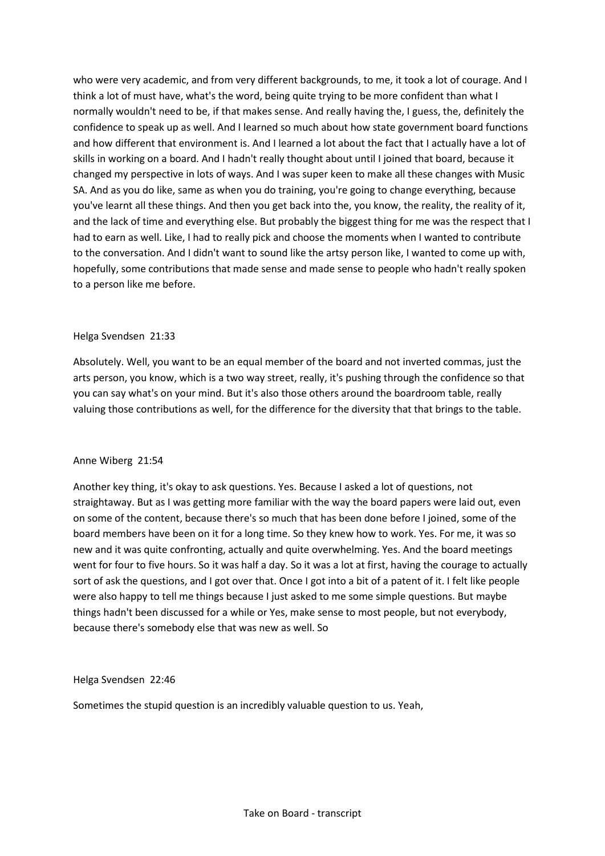who were very academic, and from very different backgrounds, to me, it took a lot of courage. And I think a lot of must have, what's the word, being quite trying to be more confident than what I normally wouldn't need to be, if that makes sense. And really having the, I guess, the, definitely the confidence to speak up as well. And I learned so much about how state government board functions and how different that environment is. And I learned a lot about the fact that I actually have a lot of skills in working on a board. And I hadn't really thought about until I joined that board, because it changed my perspective in lots of ways. And I was super keen to make all these changes with Music SA. And as you do like, same as when you do training, you're going to change everything, because you've learnt all these things. And then you get back into the, you know, the reality, the reality of it, and the lack of time and everything else. But probably the biggest thing for me was the respect that I had to earn as well. Like, I had to really pick and choose the moments when I wanted to contribute to the conversation. And I didn't want to sound like the artsy person like, I wanted to come up with, hopefully, some contributions that made sense and made sense to people who hadn't really spoken to a person like me before.

#### Helga Svendsen 21:33

Absolutely. Well, you want to be an equal member of the board and not inverted commas, just the arts person, you know, which is a two way street, really, it's pushing through the confidence so that you can say what's on your mind. But it's also those others around the boardroom table, really valuing those contributions as well, for the difference for the diversity that that brings to the table.

## Anne Wiberg 21:54

Another key thing, it's okay to ask questions. Yes. Because I asked a lot of questions, not straightaway. But as I was getting more familiar with the way the board papers were laid out, even on some of the content, because there's so much that has been done before I joined, some of the board members have been on it for a long time. So they knew how to work. Yes. For me, it was so new and it was quite confronting, actually and quite overwhelming. Yes. And the board meetings went for four to five hours. So it was half a day. So it was a lot at first, having the courage to actually sort of ask the questions, and I got over that. Once I got into a bit of a patent of it. I felt like people were also happy to tell me things because I just asked to me some simple questions. But maybe things hadn't been discussed for a while or Yes, make sense to most people, but not everybody, because there's somebody else that was new as well. So

Helga Svendsen 22:46

Sometimes the stupid question is an incredibly valuable question to us. Yeah,